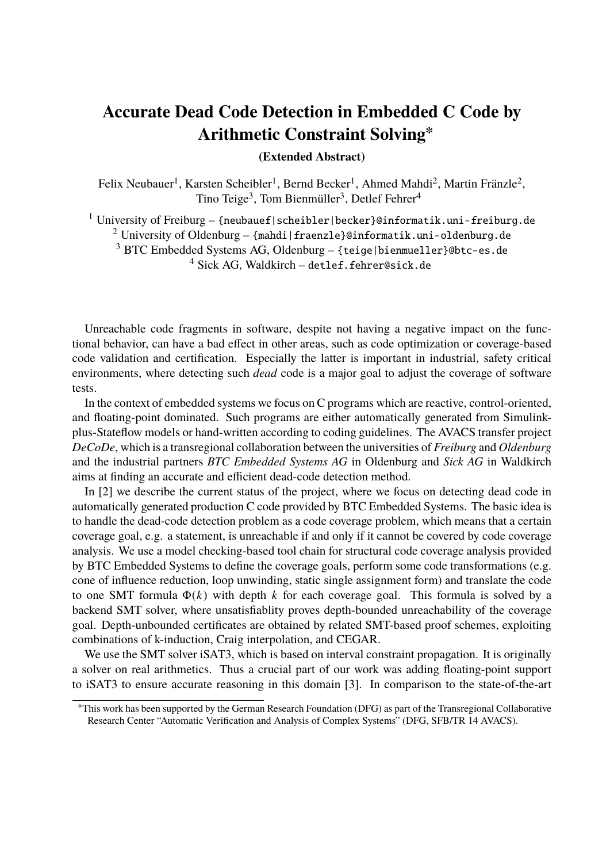## **Accurate Dead Code Detection in Embedded C Code by Arithmetic Constraint Solving<sup>∗</sup>**

## **(Extended Abstract)**

Felix Neubauer<sup>1</sup>, Karsten Scheibler<sup>1</sup>, Bernd Becker<sup>1</sup>, Ahmed Mahdi<sup>2</sup>, Martin Fränzle<sup>2</sup>, Tino Teige<sup>3</sup>, Tom Bienmüller<sup>3</sup>, Detlef Fehrer<sup>4</sup>

<sup>1</sup> University of Freiburg – {neubauef|scheibler|becker}@informatik.uni-freiburg.de

<sup>2</sup> University of Oldenburg – {mahdi|fraenzle}@informatik.uni-oldenburg.de

<sup>3</sup> BTC Embedded Systems AG, Oldenburg – {teige|bienmueller}@btc-es.de

<sup>4</sup> Sick AG, Waldkirch – detlef.fehrer@sick.de

Unreachable code fragments in software, despite not having a negative impact on the functional behavior, can have a bad effect in other areas, such as code optimization or coverage-based code validation and certification. Especially the latter is important in industrial, safety critical environments, where detecting such *dead* code is a major goal to adjust the coverage of software tests.

In the context of embedded systems we focus on C programs which are reactive, control-oriented, and floating-point dominated. Such programs are either automatically generated from Simulinkplus-Stateflow models or hand-written according to coding guidelines. The AVACS transfer project *DeCoDe*, which is a transregional collaboration between the universities of *Freiburg* and *Oldenburg* and the industrial partners *BTC Embedded Systems AG* in Oldenburg and *Sick AG* in Waldkirch aims at finding an accurate and efficient dead-code detection method.

In [2] we describe the current status of the project, where we focus on detecting dead code in automatically generated production C code provided by BTC Embedded Systems. The basic idea is to handle the dead-code detection problem as a code coverage problem, which means that a certain coverage goal, e.g. a statement, is unreachable if and only if it cannot be covered by code coverage analysis. We use a model checking-based tool chain for structural code coverage analysis provided by BTC Embedded Systems to define the coverage goals, perform some code transformations (e.g. cone of influence reduction, loop unwinding, static single assignment form) and translate the code to one SMT formula Φ(*k*) with depth *k* for each coverage goal. This formula is solved by a backend SMT solver, where unsatisfiablity proves depth-bounded unreachability of the coverage goal. Depth-unbounded certificates are obtained by related SMT-based proof schemes, exploiting combinations of k-induction, Craig interpolation, and CEGAR.

We use the SMT solver iSAT3, which is based on interval constraint propagation. It is originally a solver on real arithmetics. Thus a crucial part of our work was adding floating-point support to iSAT3 to ensure accurate reasoning in this domain [3]. In comparison to the state-of-the-art

<sup>∗</sup>This work has been supported by the German Research Foundation (DFG) as part of the Transregional Collaborative Research Center "Automatic Verification and Analysis of Complex Systems" (DFG, SFB/TR 14 AVACS).